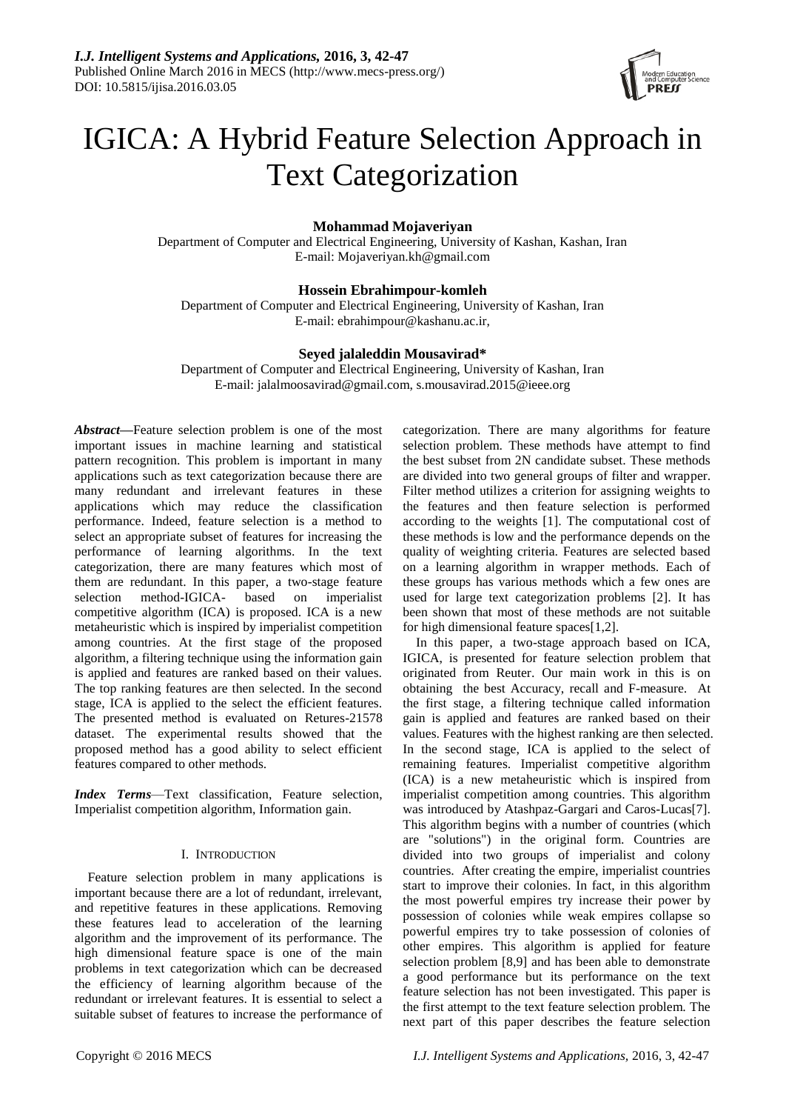

# IGICA: A Hybrid Feature Selection Approach in Text Categorization

# **Mohammad Mojaveriyan**

Department of Computer and Electrical Engineering, University of Kashan, Kashan, Iran E-mail: [Mojaveriyan.kh@gmail.com](mailto:Mojaveriyan.kh@gmail.com)

# **Hossein Ebrahimpour-komleh**

Department of Computer and Electrical Engineering, University of Kashan, Iran E-mail: ebrahimpour@kashanu.ac.ir,

# **Seyed jalaleddin Mousavirad\***

Department of Computer and Electrical Engineering, University of Kashan, Iran E-mail: jalalmoosavirad@gmail.com, s.mousavirad.2015@ieee.org

*Abstract***—**Feature selection problem is one of the most important issues in machine learning and statistical pattern recognition. This problem is important in many applications such as text categorization because there are many redundant and irrelevant features in these applications which may reduce the classification performance. Indeed, feature selection is a method to select an appropriate subset of features for increasing the performance of learning algorithms. In the text categorization, there are many features which most of them are redundant. In this paper, a two-stage feature selection method-IGICA- based on imperialist competitive algorithm (ICA) is proposed. ICA is a new metaheuristic which is inspired by imperialist competition among countries. At the first stage of the proposed algorithm, a filtering technique using the information gain is applied and features are ranked based on their values. The top ranking features are then selected. In the second stage, ICA is applied to the select the efficient features. The presented method is evaluated on Retures-21578 dataset. The experimental results showed that the proposed method has a good ability to select efficient features compared to other methods.

*Index Terms*—Text classification, Feature selection, Imperialist competition algorithm, Information gain.

## I. INTRODUCTION

Feature selection problem in many applications is important because there are a lot of redundant, irrelevant, and repetitive features in these applications. Removing these features lead to acceleration of the learning algorithm and the improvement of its performance. The high dimensional feature space is one of the main problems in text categorization which can be decreased the efficiency of learning algorithm because of the redundant or irrelevant features. It is essential to select a suitable subset of features to increase the performance of categorization. There are many algorithms for feature selection problem. These methods have attempt to find the best subset from 2N candidate subset. These methods are divided into two general groups of filter and wrapper. Filter method utilizes a criterion for assigning weights to the features and then feature selection is performed according to the weights [1]. The computational cost of these methods is low and the performance depends on the quality of weighting criteria. Features are selected based on a learning algorithm in wrapper methods. Each of these groups has various methods which a few ones are used for large text categorization problems [2]. It has been shown that most of these methods are not suitable for high dimensional feature spaces[1,2].

In this paper, a two-stage approach based on ICA, IGICA, is presented for feature selection problem that originated from Reuter. Our main work in this is on obtaining the best Accuracy, recall and F-measure. At the first stage, a filtering technique called information gain is applied and features are ranked based on their values. Features with the highest ranking are then selected. In the second stage, ICA is applied to the select of remaining features. Imperialist competitive algorithm (ICA) is a new metaheuristic which is inspired from imperialist competition among countries. This algorithm was introduced by Atashpaz-Gargari and Caros-Lucas[7]. This algorithm begins with a number of countries (which are "solutions") in the original form. Countries are divided into two groups of imperialist and colony countries. After creating the empire, imperialist countries start to improve their colonies. In fact, in this algorithm the most powerful empires try increase their power by possession of colonies while weak empires collapse so powerful empires try to take possession of colonies of other empires. This algorithm is applied for feature selection problem [8,9] and has been able to demonstrate a good performance but its performance on the text feature selection has not been investigated. This paper is the first attempt to the text feature selection problem. The next part of this paper describes the feature selection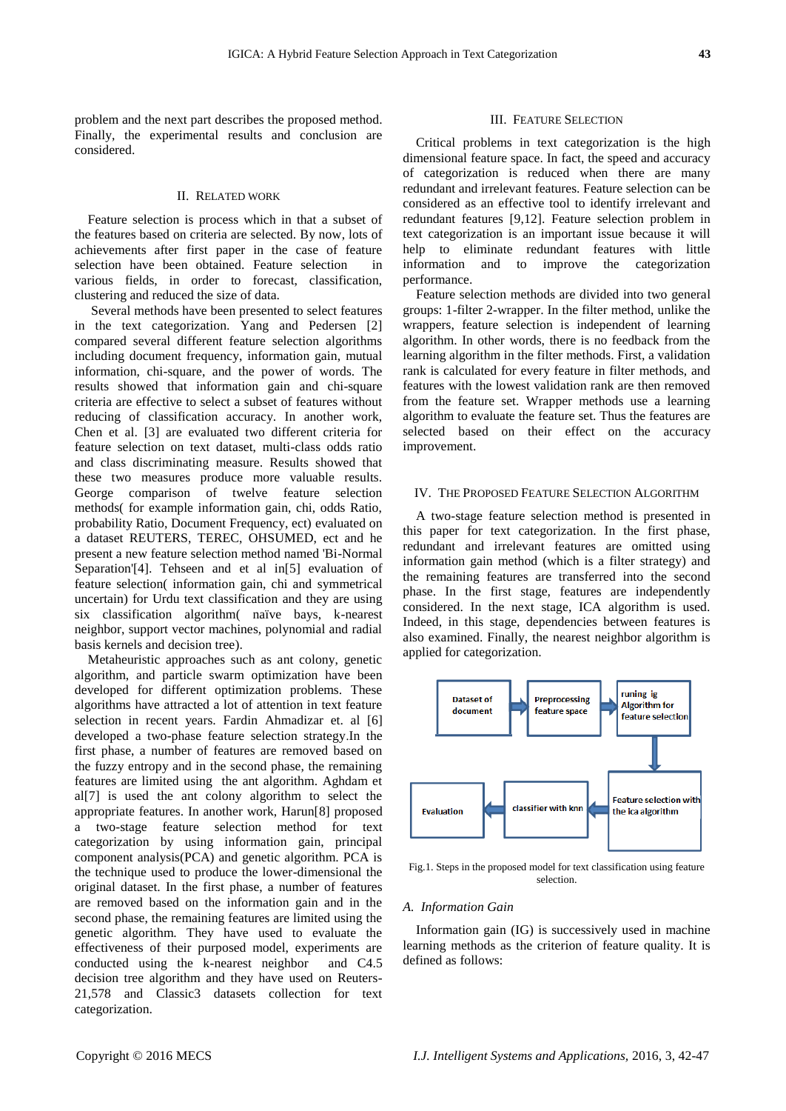problem and the next part describes the proposed method. Finally, the experimental results and conclusion are considered.

## II. RELATED WORK

Feature selection is process which in that a subset of the features based on criteria are selected. By now, lots of achievements after first paper in the case of feature selection have been obtained. Feature selection in various fields, in order to forecast, classification, clustering and reduced the size of data.

Several methods have been presented to select features in the text categorization. Yang and Pedersen [2] compared several different feature selection algorithms including document frequency, information gain, mutual information, chi-square, and the power of words. The results showed that information gain and chi-square criteria are effective to select a subset of features without reducing of classification accuracy. In another work, Chen et al. [3] are evaluated two different criteria for feature selection on text dataset, multi-class odds ratio and class discriminating measure. Results showed that these two measures produce more valuable results. George comparison of twelve feature selection methods( for example information gain, chi, odds Ratio, probability Ratio, Document Frequency, ect) evaluated on a dataset REUTERS, TEREC, OHSUMED, ect and he present a new feature selection method named 'Bi-Normal Separation'[4]. Tehseen and et al in[5] evaluation of feature selection( information gain, chi and symmetrical uncertain) for Urdu text classification and they are using six classification algorithm (na we bays, k-nearest neighbor, support vector machines, polynomial and radial basis kernels and decision tree).

Metaheuristic approaches such as ant colony, genetic algorithm, and particle swarm optimization have been developed for different optimization problems. These algorithms have attracted a lot of attention in text feature selection in recent years. Fardin Ahmadizar et. al [6] developed a two-phase feature selection strategy.In the first phase, a number of features are removed based on the fuzzy entropy and in the second phase, the remaining features are limited using the ant algorithm. Aghdam et al[7] is used the ant colony algorithm to select the appropriate features. In another work, Harun[8] proposed a two-stage feature selection method for text categorization by using information gain, principal component analysis(PCA) and genetic algorithm. PCA is the technique used to produce the lower-dimensional the original dataset. In the first phase, a number of features are removed based on the information gain and in the second phase, the remaining features are limited using the genetic algorithm. They have used to evaluate the effectiveness of their purposed model, experiments are conducted using the k-nearest neighbor and C4.5 decision tree algorithm and they have used on Reuters-21,578 and Classic3 datasets collection for text categorization.

### III. FEATURE SELECTION

Critical problems in text categorization is the high dimensional feature space. In fact, the speed and accuracy of categorization is reduced when there are many redundant and irrelevant features. Feature selection can be considered as an effective tool to identify irrelevant and redundant features [9,12]. Feature selection problem in text categorization is an important issue because it will help to eliminate redundant features with little information and to improve the categorization performance.

Feature selection methods are divided into two general groups: 1-filter 2-wrapper. In the filter method, unlike the wrappers, feature selection is independent of learning algorithm. In other words, there is no feedback from the learning algorithm in the filter methods. First, a validation rank is calculated for every feature in filter methods, and features with the lowest validation rank are then removed from the feature set. Wrapper methods use a learning algorithm to evaluate the feature set. Thus the features are selected based on their effect on the accuracy improvement.

## IV. THE PROPOSED FEATURE SELECTION ALGORITHM

A two-stage feature selection method is presented in this paper for text categorization. In the first phase, redundant and irrelevant features are omitted using information gain method (which is a filter strategy) and the remaining features are transferred into the second phase. In the first stage, features are independently considered. In the next stage, ICA algorithm is used. Indeed, in this stage, dependencies between features is also examined. Finally, the nearest neighbor algorithm is applied for categorization.



Fig.1. Steps in the proposed model for text classification using feature selection.

## *A. Information Gain*

Information gain (IG) is successively used in machine learning methods as the criterion of feature quality. It is defined as follows: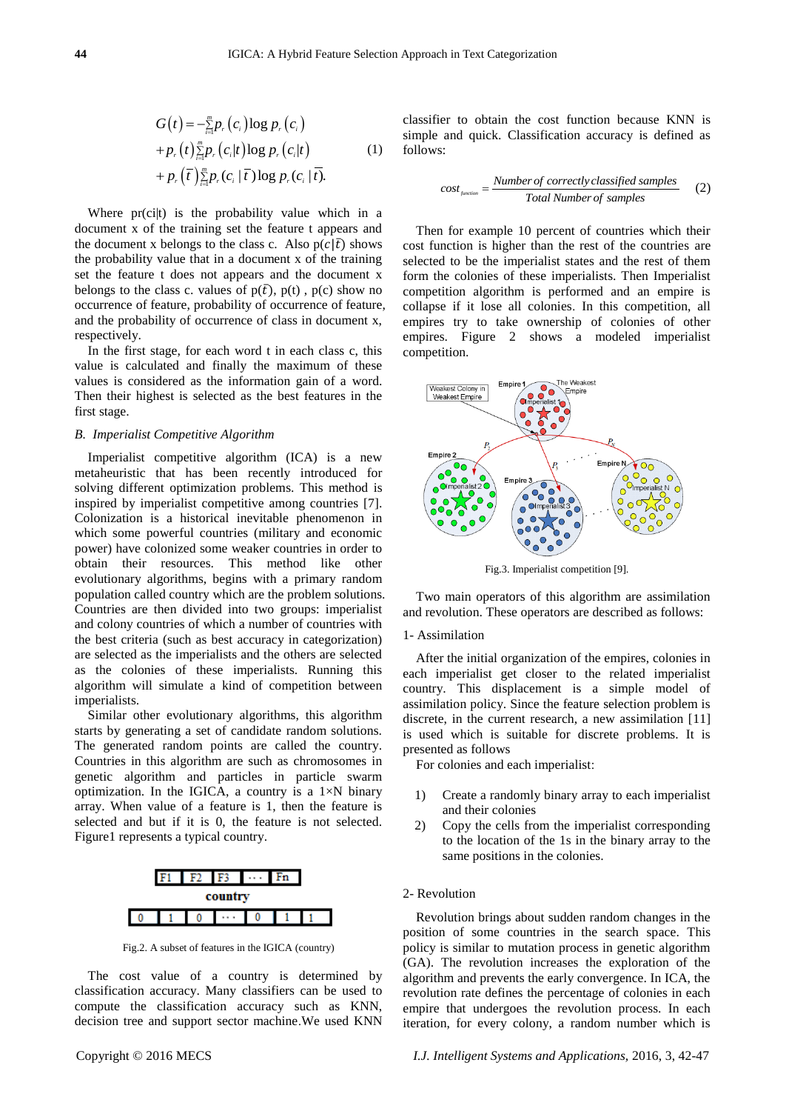$$
G(t) = -\frac{m}{\sum_{i=1}^{m} p_r (c_i) \log p_r (c_i)} + p_r (t) \frac{m}{\sum_{i=1}^{m} p_r (c_i | t) \log p_r (c_i | t)} + p_r (\bar{t}) \frac{m}{\sum_{i=1}^{m} p_r (c_i | \bar{t}) \log p_r (c_i | \bar{t})}.
$$
 (1)

Where pr(ci|t) is the probability value which in a document x of the training set the feature t appears and the document x belongs to the class c. Also  $p(c|\bar{t})$  shows the probability value that in a document x of the training set the feature t does not appears and the document x belongs to the class c. values of  $p(\bar{t})$ ,  $p(t)$ ,  $p(c)$  show no occurrence of feature, probability of occurrence of feature, and the probability of occurrence of class in document x, respectively.

In the first stage, for each word t in each class c, this value is calculated and finally the maximum of these values is considered as the information gain of a word. Then their highest is selected as the best features in the first stage.

## *B. Imperialist Competitive Algorithm*

Imperialist competitive algorithm (ICA) is a new metaheuristic that has been recently introduced for solving different optimization problems. This method is inspired by imperialist competitive among countries [7]. Colonization is a historical inevitable phenomenon in which some powerful countries (military and economic power) have colonized some weaker countries in order to obtain their resources. This method like other evolutionary algorithms, begins with a primary random population called country which are the problem solutions. Countries are then divided into two groups: imperialist and colony countries of which a number of countries with the best criteria (such as best accuracy in categorization) are selected as the imperialists and the others are selected as the colonies of these imperialists. Running this algorithm will simulate a kind of competition between imperialists.

Similar other evolutionary algorithms, this algorithm starts by generating a set of candidate random solutions. The generated random points are called the country. Countries in this algorithm are such as chromosomes in genetic algorithm and particles in particle swarm optimization. In the IGICA, a country is a  $1 \times N$  binary array. When value of a feature is 1, then the feature is selected and but if it is 0, the feature is not selected. Figure1 represents a typical country.



Fig.2. A subset of features in the IGICA (country)

The cost value of a country is determined by classification accuracy. Many classifiers can be used to compute the classification accuracy such as KNN, decision tree and support sector machine.We used KNN

classifier to obtain the cost function because KNN is simple and quick. Classification accuracy is defined as follows:

$$
cost_{\text{function}} = \frac{Number\ of\ correctly\ classified\ samples}{Total\ Number\ of\ samples}
$$
 (2)

Then for example 10 percent of countries which their cost function is higher than the rest of the countries are selected to be the imperialist states and the rest of them form the colonies of these imperialists. Then Imperialist competition algorithm is performed and an empire is collapse if it lose all colonies. In this competition, all empires try to take ownership of colonies of other empires. Figure 2 shows a modeled imperialist competition.



Fig.3. Imperialist competition [9].

Two main operators of this algorithm are assimilation and revolution. These operators are described as follows:

#### 1- Assimilation

After the initial organization of the empires, colonies in each imperialist get closer to the related imperialist country. This displacement is a simple model of assimilation policy. Since the feature selection problem is discrete, in the current research, a new assimilation [11] is used which is suitable for discrete problems. It is presented as follows

For colonies and each imperialist:

- 1) Create a randomly binary array to each imperialist and their colonies
- 2) Copy the cells from the imperialist corresponding to the location of the 1s in the binary array to the same positions in the colonies.

# 2- Revolution

Revolution brings about sudden random changes in the position of some countries in the search space. This policy is similar to mutation process in genetic algorithm (GA). The revolution increases the exploration of the algorithm and prevents the early convergence. In ICA, the revolution rate defines the percentage of colonies in each empire that undergoes the revolution process. In each iteration, for every colony, a random number which is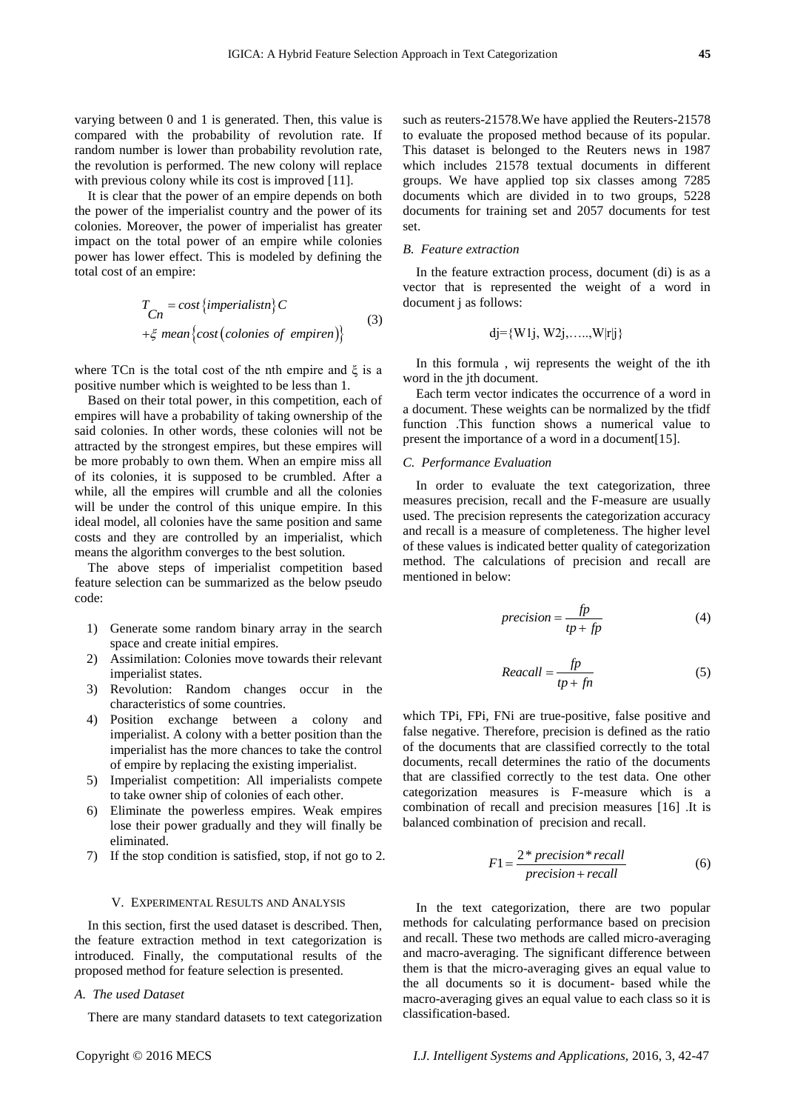varying between 0 and 1 is generated. Then, this value is compared with the probability of revolution rate. If random number is lower than probability revolution rate, the revolution is performed. The new colony will replace with previous colony while its cost is improved [11].

It is clear that the power of an empire depends on both the power of the imperialist country and the power of its colonies. Moreover, the power of imperialist has greater impact on the total power of an empire while colonies power has lower effect. This is modeled by defining the total cost of an empire:

$$
T_{Cn} = cost \{imperialistn\} C
$$
  
+ $\xi$  mean {cost (colories of empiren)} (3)

where TCn is the total cost of the nth empire and  $\xi$  is a positive number which is weighted to be less than 1.

Based on their total power, in this competition, each of empires will have a probability of taking ownership of the said colonies. In other words, these colonies will not be attracted by the strongest empires, but these empires will be more probably to own them. When an empire miss all of its colonies, it is supposed to be crumbled. After a while, all the empires will crumble and all the colonies will be under the control of this unique empire. In this ideal model, all colonies have the same position and same costs and they are controlled by an imperialist, which means the algorithm converges to the best solution.

The above steps of imperialist competition based feature selection can be summarized as the below pseudo code:

- 1) Generate some random binary array in the search space and create initial empires.
- 2) Assimilation: Colonies move towards their relevant imperialist states.
- 3) Revolution: Random changes occur in the characteristics of some countries.
- 4) Position exchange between a colony and imperialist. A colony with a better position than the imperialist has the more chances to take the control of empire by replacing the existing imperialist.
- 5) Imperialist competition: All imperialists compete to take owner ship of colonies of each other.
- 6) Eliminate the powerless empires. Weak empires lose their power gradually and they will finally be eliminated.
- 7) If the stop condition is satisfied, stop, if not go to 2.

#### V. EXPERIMENTAL RESULTS AND ANALYSIS

In this section, first the used dataset is described. Then, the feature extraction method in text categorization is introduced. Finally, the computational results of the proposed method for feature selection is presented.

## *A. The used Dataset*

There are many standard datasets to text categorization

such as reuters-21578.We have applied the Reuters-21578 to evaluate the proposed method because of its popular. This dataset is belonged to the Reuters news in 1987 which includes 21578 textual documents in different groups. We have applied top six classes among 7285 documents which are divided in to two groups, 5228 documents for training set and 2057 documents for test set.

#### *B. Feature extraction*

In the feature extraction process, document (di) is as a vector that is represented the weight of a word in document j as follows:

$$
dj = \{W1j, W2j, \ldots, W|r|j\}
$$

In this formula , wij represents the weight of the ith word in the jth document.

Each term vector indicates the occurrence of a word in a document. These weights can be normalized by the tfidf function .This function shows a numerical value to present the importance of a word in a document[15].

## *C. Performance Evaluation*

In order to evaluate the text categorization, three measures precision, recall and the F-measure are usually used. The precision represents the categorization accuracy and recall is a measure of completeness. The higher level of these values is indicated better quality of categorization method. The calculations of precision and recall are mentioned in below:

$$
precision = \frac{fp}{tp + fp} \tag{4}
$$

$$
Recall = \frac{fp}{tp + fn} \tag{5}
$$

which TPi, FPi, FNi are true-positive, false positive and false negative. Therefore, precision is defined as the ratio of the documents that are classified correctly to the total documents, recall determines the ratio of the documents that are classified correctly to the test data. One other categorization measures is F-measure which is a combination of recall and precision measures [16] .It is balanced combination of precision and recall.

$$
F1 = \frac{2 \cdot \text{precision} \cdot \text{recall}}{\text{precision} + \text{recall}}
$$
 (6)

In the text categorization, there are two popular methods for calculating performance based on precision and recall. These two methods are called micro-averaging and macro-averaging. The significant difference between them is that the micro-averaging gives an equal value to the all documents so it is document- based while the macro-averaging gives an equal value to each class so it is classification-based.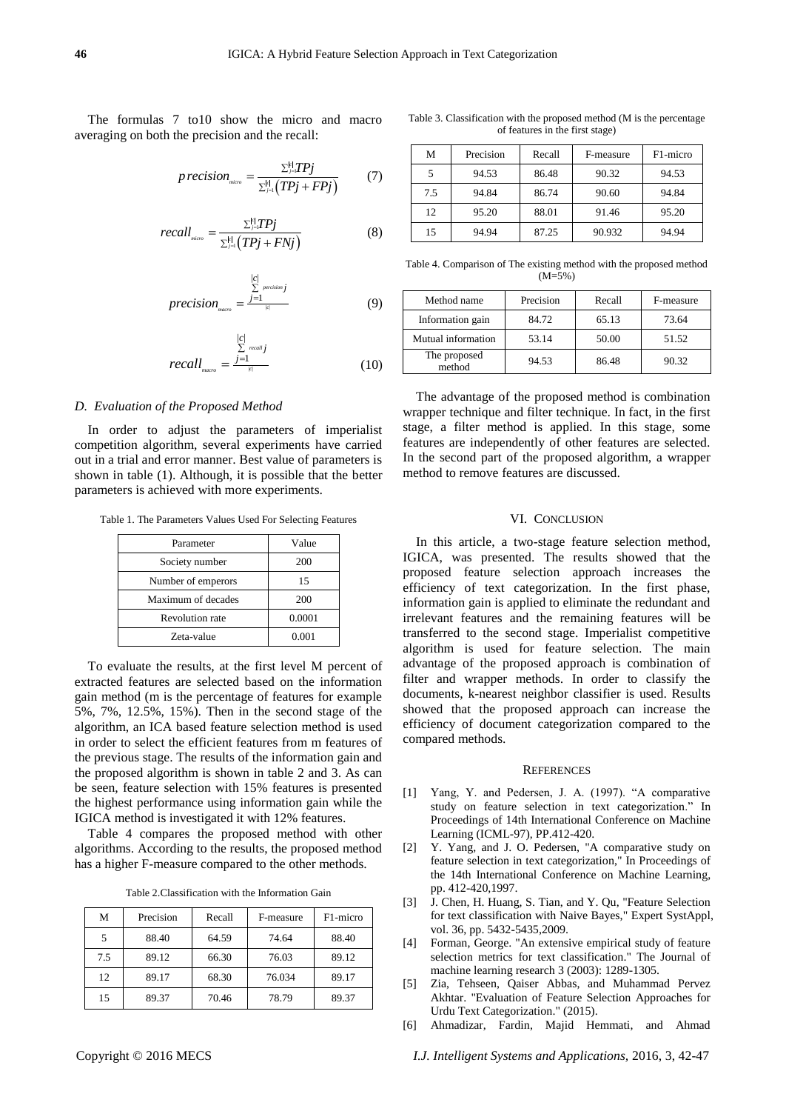The formulas 7 to10 show the micro and macro averaging on both the precision and the recall:

$$
precision_{\text{micro}} = \frac{\sum_{j=1}^{k} TPj}{\sum_{j=1}^{k} (TPj + FPj)}
$$
(7)

$$
recall_{\scriptscriptstyle micro} = \frac{\sum_{j=1}^{k} TPj}{\sum_{j=1}^{k} (TPj + FNj)}
$$
\n(8)

$$
precision_{macro} = \frac{\sum_{j=1}^{|c|} precision_j}{\sum_{i \in [c]} (9)}
$$

$$
recall_{_{macro}} = \frac{\sum_{i=1}^{|c|} \text{recall}_j}{\sum_{i \in [c]} \text{recall}_i}
$$
 (10)

#### *D. Evaluation of the Proposed Method*

In order to adjust the parameters of imperialist competition algorithm, several experiments have carried out in a trial and error manner. Best value of parameters is shown in table (1). Although, it is possible that the better parameters is achieved with more experiments.

Table 1. The Parameters Values Used For Selecting Features

| Parameter              | Value  |
|------------------------|--------|
| Society number         | 200    |
| Number of emperors     | 15     |
| Maximum of decades     | 200    |
| <b>Revolution rate</b> | 0.0001 |
| Zeta-value             | 0.001  |

To evaluate the results, at the first level M percent of extracted features are selected based on the information gain method (m is the percentage of features for example 5%, 7%, 12.5%, 15%). Then in the second stage of the algorithm, an ICA based feature selection method is used in order to select the efficient features from m features of the previous stage. The results of the information gain and the proposed algorithm is shown in table 2 and 3. As can be seen, feature selection with 15% features is presented the highest performance using information gain while the IGICA method is investigated it with 12% features.

Table 4 compares the proposed method with other algorithms. According to the results, the proposed method has a higher F-measure compared to the other methods.

Table 2.Classification with the Information Gain

| М   | Precision | Recall | F-measure | F1-micro |
|-----|-----------|--------|-----------|----------|
|     | 88.40     | 64.59  | 74.64     | 88.40    |
| 7.5 | 89.12     | 66.30  | 76.03     | 89.12    |
| 12  | 89.17     | 68.30  | 76.034    | 89.17    |
| 15  | 89.37     | 70.46  | 78.79     | 89.37    |

Table 3. Classification with the proposed method (M is the percentage of features in the first stage)

| М   | Precision | Recall | F-measure | F <sub>1</sub> -micro |
|-----|-----------|--------|-----------|-----------------------|
|     | 94.53     | 86.48  | 90.32     | 94.53                 |
| 7.5 | 94.84     | 86.74  | 90.60     | 94.84                 |
| 12  | 95.20     | 88.01  | 91.46     | 95.20                 |
| 15  | 94.94     | 87.25  | 90.932    | 94.94                 |

Table 4. Comparison of The existing method with the proposed method (M=5%)

| Method name            | Precision | Recall | F-measure |
|------------------------|-----------|--------|-----------|
| Information gain       | 84.72     | 65.13  | 73.64     |
| Mutual information     | 53.14     | 50.00  | 51.52     |
| The proposed<br>method | 94.53     | 86.48  | 90.32     |

The advantage of the proposed method is combination wrapper technique and filter technique. In fact, in the first stage, a filter method is applied. In this stage, some features are independently of other features are selected. In the second part of the proposed algorithm, a wrapper method to remove features are discussed.

## VI. CONCLUSION

In this article, a two-stage feature selection method, IGICA, was presented. The results showed that the proposed feature selection approach increases the efficiency of text categorization. In the first phase, information gain is applied to eliminate the redundant and irrelevant features and the remaining features will be transferred to the second stage. Imperialist competitive algorithm is used for feature selection. The main advantage of the proposed approach is combination of filter and wrapper methods. In order to classify the documents, k-nearest neighbor classifier is used. Results showed that the proposed approach can increase the efficiency of document categorization compared to the compared methods.

#### **REFERENCES**

- [1] Yang, Y. and Pedersen, J. A. (1997). "A comparative study on feature selection in text categorization." In Proceedings of 14th International Conference on Machine Learning (ICML-97), PP.412-420.
- [2] Y. Yang, and J. O. Pedersen, "A comparative study on feature selection in text categorization," In Proceedings of the 14th International Conference on Machine Learning, pp. 412-420,1997.
- [3] J. Chen, H. Huang, S. Tian, and Y. Qu, "Feature Selection for text classification with Naive Bayes," Expert SystAppl, vol. 36, pp. 5432-5435,2009.
- [4] Forman, George. "An extensive empirical study of feature selection metrics for text classification." The Journal of machine learning research 3 (2003): 1289-1305.
- [5] Zia, Tehseen, Qaiser Abbas, and Muhammad Pervez Akhtar. "Evaluation of Feature Selection Approaches for Urdu Text Categorization." (2015).
- [6] Ahmadizar, Fardin, Majid Hemmati, and Ahmad